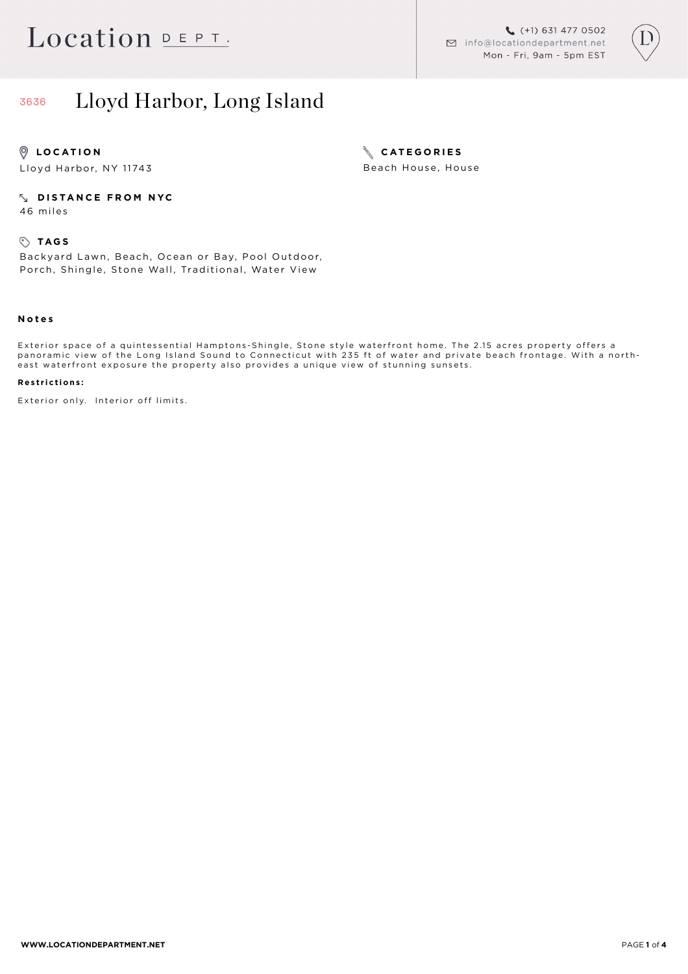

### <sup>3636</sup> Lloyd Harbor, Long Island

**Q** LOCATION

Lloyd Harbor, NY 11743

**DISTANCE FROM NYC** 46 miles

### **TAGS**

Backyard Lawn, Beach, Ocean or Bay, Pool Outdoor, Porch, Shingle, Stone Wall, Traditional, Water View

### N o t e s

Exterior space of a quintessential Hamptons-Shingle, Stone style waterfront home. The 2.15 acres property offers a panoramic view of the Long Island Sound to Connecticut with 235 ft of water and private beach frontage. With a northeast waterfront exposure the property also provides a unique view of stunning sunsets.

#### Restrictions:

Exterior only. Interior off limits.

**CATEGORIES** Beach House, House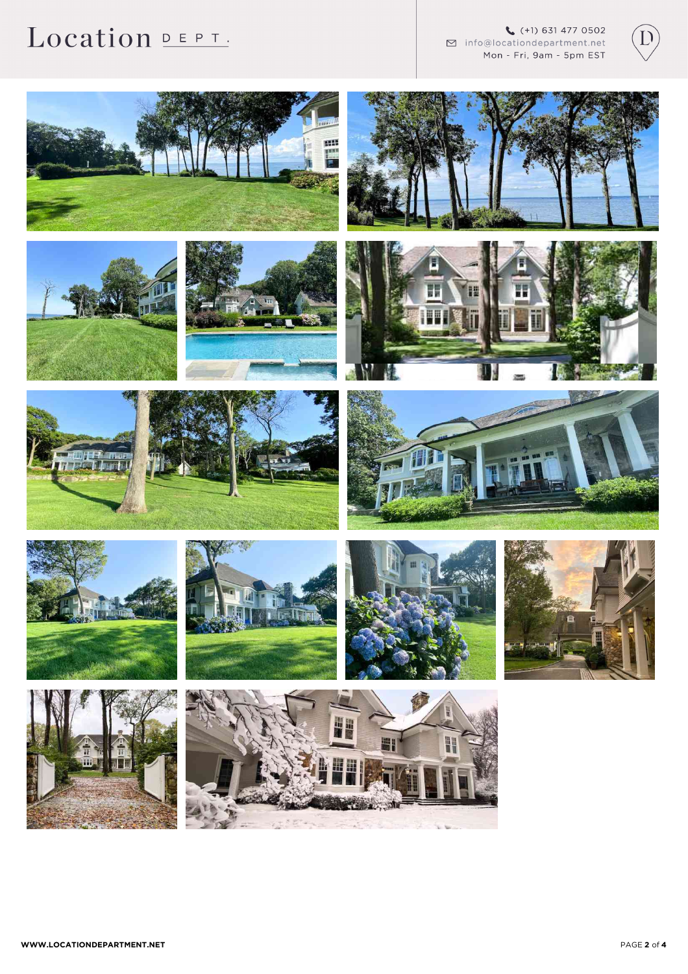$(+) 631 477 0502$ ◘ info@locationdepartment.net Mon - Fri, 9am - 5pm EST

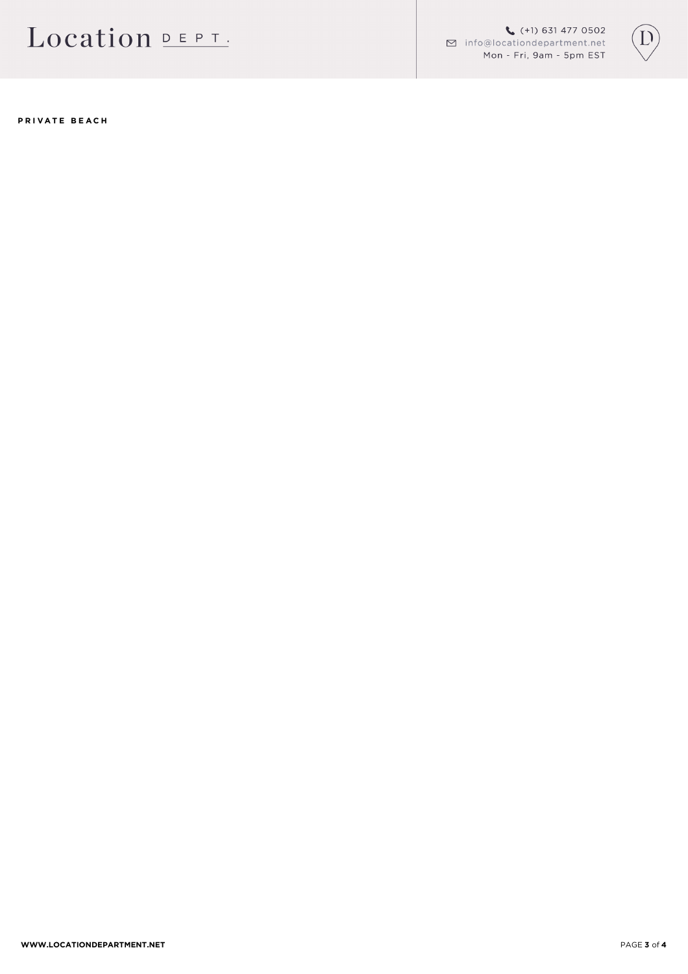$(+) 631 477 0502$ ◘ info@locationdepartment.net Mon - Fri, 9am - 5pm EST



PRIVATE BEACH